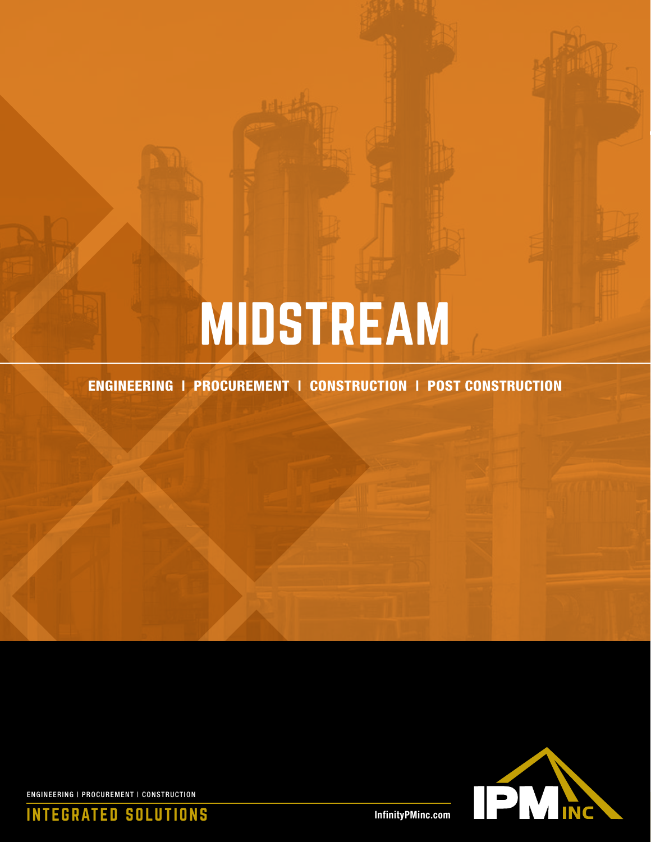# MIDSTREAM

ENGINEERING | PROCUREMENT | CONSTRUCTION | POST CONSTRUCTION



ENGINEERING | PROCUREMENT | CONSTRUCTION

INTEGRATED SOLUTIONS

InfinityPMinc.com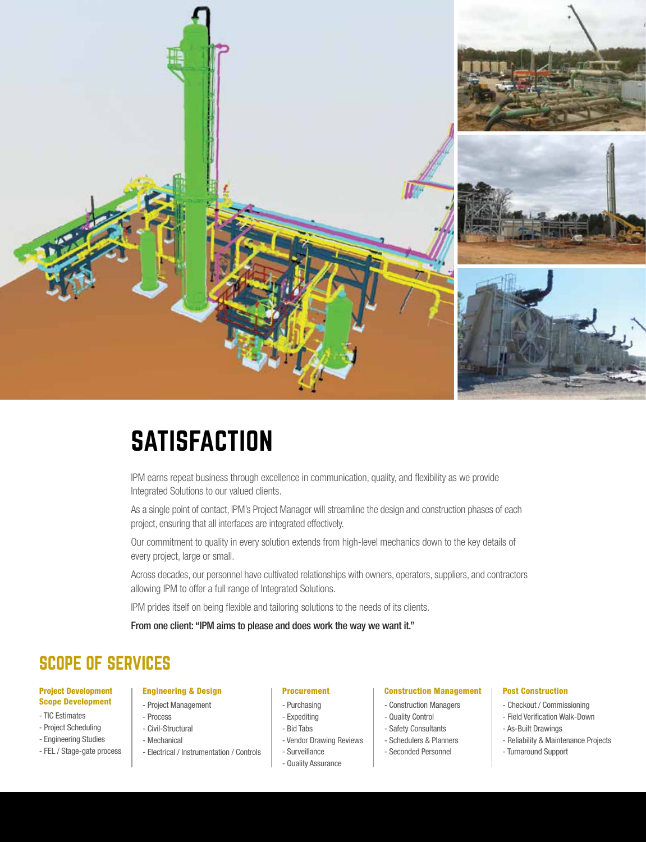

### **SATISFACTION**

IPM earns repeat business through excellence in communication, quality, and flexibility as we provide Integrated Solutions to our valued clients.

As a single point of contact, IPM's Project Manager will streamline the design and construction phases of each project, ensuring that all interfaces are integrated effectively.

Our commitment to quality in every solution extends from high-level mechanics down to the key details of every project, large or small.

Across decades, our personnel have cultivated relationships with owners, operators, suppliers, and contractors allowing IPM to offer a full range of Integrated Solutions.

IPM prides itself on being flexible and tailoring solutions to the needs of its clients.

From one client: "IPM aims to please and does work the way we want it."

### SCOPE OF SERVICES

#### Project Development Scope Development

- TIC Estimates
- Project Scheduling
- Engineering Studies
- FEL / Stage-gate process

#### Procurement

- Purchasing
	- Expediting
	- Bid Tabs
	- Vendor Drawing Reviews
	- Surveillance
	- Quality Assurance

#### Construction Management

- Construction Managers
- Quality Control
- Safety Consultants
- Schedulers & Planners
- Seconded Personnel

### Post Construction

- Checkout / Commissioning
- Field Verification Walk-Down
- As-Built Drawings
- Reliability & Maintenance Projects
- Turnaround Support

- Electrical / Instrumentation / Controls

Engineering & Design - Project Management

- Process - Civil-Structural - Mechanical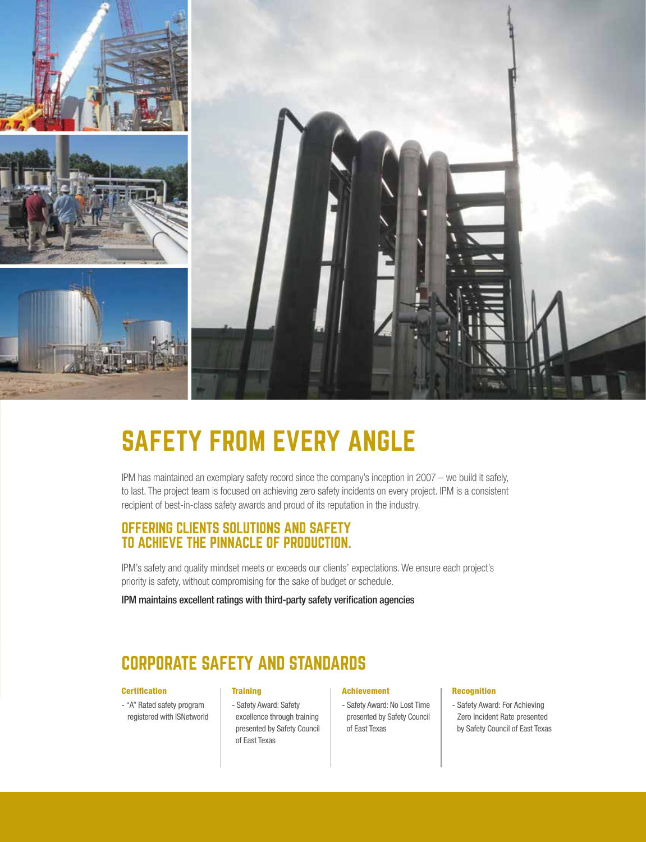

# SAFETY FROM EVERY ANGLE

IPM has maintained an exemplary safety record since the company's inception in 2007 – we build it safely, to last. The project team is focused on achieving zero safety incidents on every project. IPM is a consistent recipient of best-in-class safety awards and proud of its reputation in the industry.

### OFFERING CLIENTS SOLUTIONS AND SAFETY TO ACHIEVE THE PINNACLE OF PRODUCTION.

IPM's safety and quality mindset meets or exceeds our clients' expectations. We ensure each project's priority is safety, without compromising for the sake of budget or schedule.

IPM maintains excellent ratings with third-party safety verification agencies

### CORPORATE SAFETY AND STANDARDS

### **Certification**

- "A" Rated safety program registered with ISNetworld

### **Training**

- Safety Award: Safety excellence through training presented by Safety Council of East Texas

### Achievement

- Safety Award: No Lost Time presented by Safety Council of East Texas

#### Recognition

- Safety Award: For Achieving Zero Incident Rate presented by Safety Council of East Texas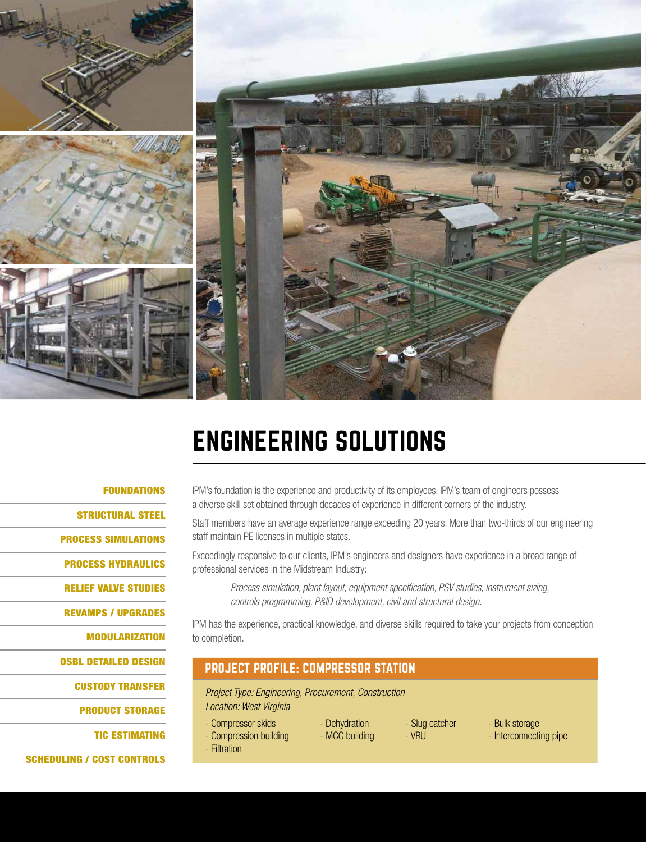

# ENGINEERING SOLUTIONS

### FOUNDATIONS

STRUCTURAL STEEL PROCESS SIMULATIONS PROCESS HYDRAULICS RELIEF VALVE STUDIES REVAMPS / UPGRADES MODULARIZATION OSBL DETAILED DESIGN CUSTODY TRANSFER

PRODUCT STORAGE

TIC ESTIMATING

SCHEDULING / COST CONTROLS

IPM's foundation is the experience and productivity of its employees. IPM's team of engineers possess a diverse skill set obtained through decades of experience in different corners of the industry.

Staff members have an average experience range exceeding 20 years. More than two-thirds of our engineering staff maintain PE licenses in multiple states.

Exceedingly responsive to our clients, IPM's engineers and designers have experience in a broad range of professional services in the Midstream Industry:

*Process simulation, plant layout, equipment specification, PSV studies, instrument sizing, controls programming, P&ID development, civil and structural design.*

IPM has the experience, practical knowledge, and diverse skills required to take your projects from conception to completion.

### PROJECT PROFILE: COMPRESSOR STATION

*Project Type: Engineering, Procurement, Construction Location: West Virginia*

- Compressor skids
- Compression building
- Filtration
- Dehydration - MCC building
	- Slug catcher - VRU
- Bulk storage
- Interconnecting pipe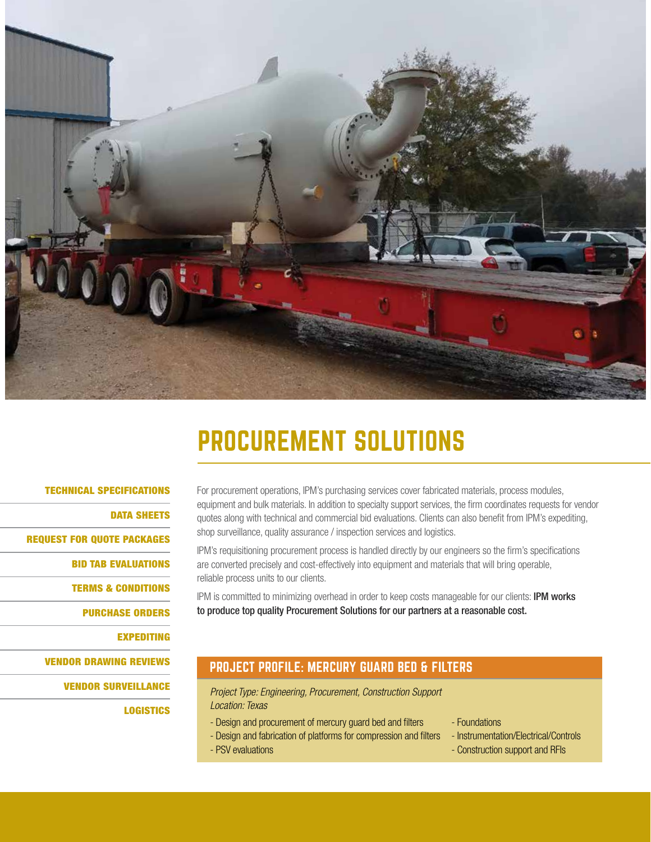

# PROCUREMENT SOLUTIONS

### TECHNICAL SPECIFICATIONS

DATA SHEETS

REQUEST FOR QUOTE PACKAGES

BID TAB EVALUATIONS

TERMS & CONDITIONS

PURCHASE ORDERS

EXPEDITING

VENDOR DRAWING REVIEWS

VENDOR SURVEILLANCE

**LOGISTICS** 

For procurement operations, IPM's purchasing services cover fabricated materials, process modules, equipment and bulk materials. In addition to specialty support services, the firm coordinates requests for vendor quotes along with technical and commercial bid evaluations. Clients can also benefit from IPM's expediting, shop surveillance, quality assurance / inspection services and logistics.

IPM's requisitioning procurement process is handled directly by our engineers so the firm's specifications are converted precisely and cost-effectively into equipment and materials that will bring operable, reliable process units to our clients.

IPM is committed to minimizing overhead in order to keep costs manageable for our clients: IPM works to produce top quality Procurement Solutions for our partners at a reasonable cost.

### PROJECT PROFILE: MERCURY GUARD BED & FILTERS

**Project Type: Engineering, Procurement, Construction Support** *Location: Texas*

- Design and procurement of mercury guard bed and filters Foundations
	-
- Design and fabrication of platforms for compression and filters Instrumentation/Electrical/Controls
	-
- PSV evaluations Construction support and RFIs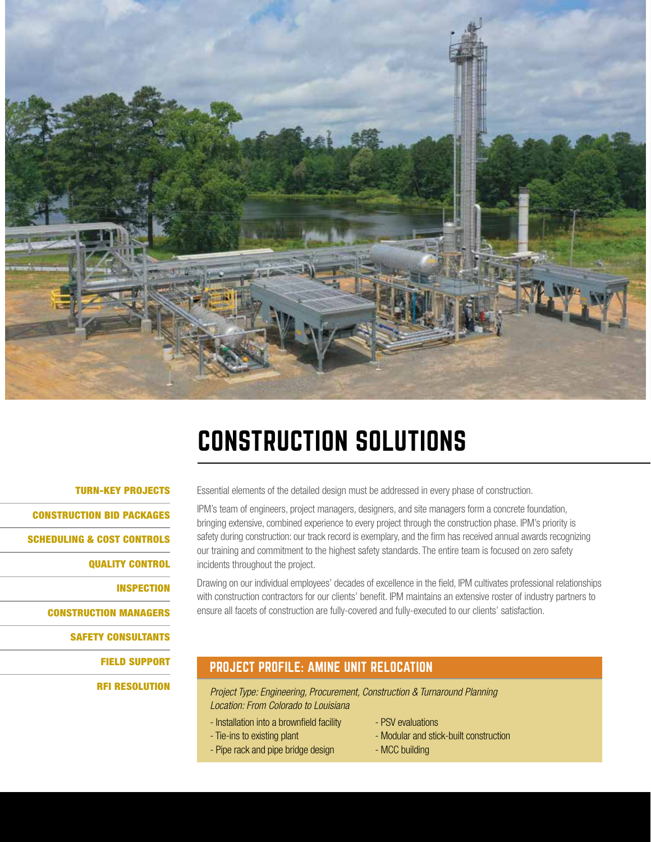

# CONSTRUCTION SOLUTIONS

### TURN-KEY PROJECTS

CONSTRUCTION BID PACKAGES

SCHEDULING & COST CONTROLS

QUALITY CONTROL

INSPECTION

CONSTRUCTION MANAGERS

SAFETY CONSULTANTS

FIELD SUPPORT

RFI RESOLUTION

Essential elements of the detailed design must be addressed in every phase of construction.

IPM's team of engineers, project managers, designers, and site managers form a concrete foundation, bringing extensive, combined experience to every project through the construction phase. IPM's priority is safety during construction: our track record is exemplary, and the firm has received annual awards recognizing our training and commitment to the highest safety standards. The entire team is focused on zero safety incidents throughout the project.

Drawing on our individual employees' decades of excellence in the field, IPM cultivates professional relationships with construction contractors for our clients' benefit. IPM maintains an extensive roster of industry partners to ensure all facets of construction are fully-covered and fully-executed to our clients' satisfaction.

### PROJECT PROFILE: AMINE UNIT RELOCATION

*Project Type: Engineering, Procurement, Construction & Turnaround Planning Location: From Colorado to Louisiana*

- Installation into a brownfield facility
- Tie-ins to existing plant
- Pipe rack and pipe bridge design
- PSV evaluations
- Modular and stick-built construction
- MCC building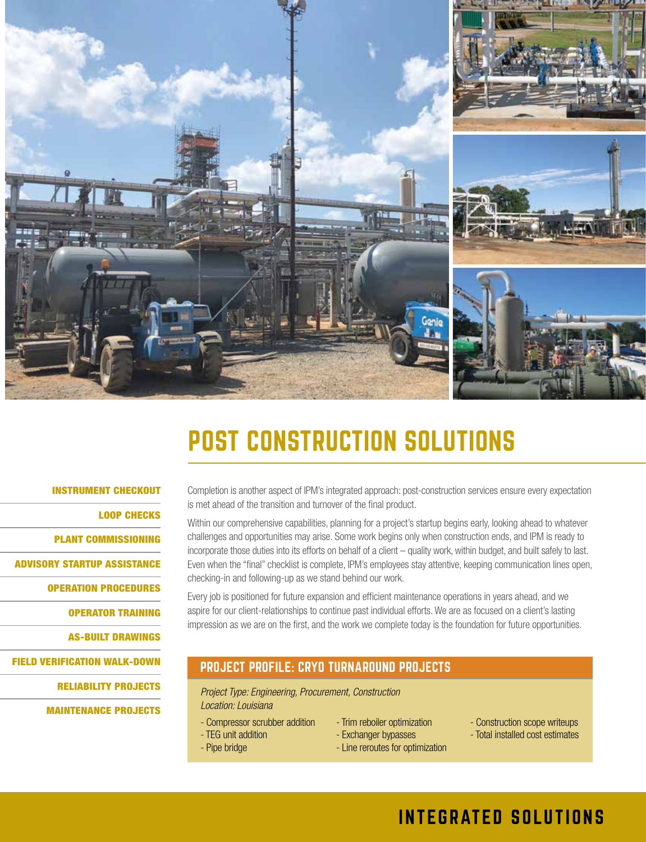

# POST CONSTRUCTION SOLUTIONS

### INSTRUMENT CHECKOUT

LOOP CHECKS

PLANT COMMISSIONING

ADVISORY STARTUP ASSISTANCE

OPERATION PROCEDURES

OPERATOR TRAINING

AS-BUILT DRAWINGS

FIELD VERIFICATION WALK-DOWN

RELIABILITY PROJECTS

MAINTENANCE PROJECTS

Completion is another aspect of IPM's integrated approach: post-construction services ensure every expectation is met ahead of the transition and turnover of the final product.

Within our comprehensive capabilities, planning for a project's startup begins early, looking ahead to whatever challenges and opportunities may arise. Some work begins only when construction ends, and IPM is ready to incorporate those duties into its efforts on behalf of a client – quality work, within budget, and built safely to last. Even when the "final" checklist is complete, IPM's employees stay attentive, keeping communication lines open, checking-in and following-up as we stand behind our work.

Every job is positioned for future expansion and efficient maintenance operations in years ahead, and we aspire for our client-relationships to continue past individual efforts. We are as focused on a client's lasting impression as we are on the first, and the work we complete today is the foundation for future opportunities.

### PROJECT PROFILE: CRYO TURNAROUND PROJECTS

*Project Type: Engineering, Procurement, Construction Location: Louisiana*

- Compressor scrubber addition

- TEG unit addition - Pipe bridge

- Trim reboiler optimization
- Exchanger bypasses
- Line reroutes for optimization
- Construction scope writeups
- Total installed cost estimates

### INTEGRATED SOLUTIONS